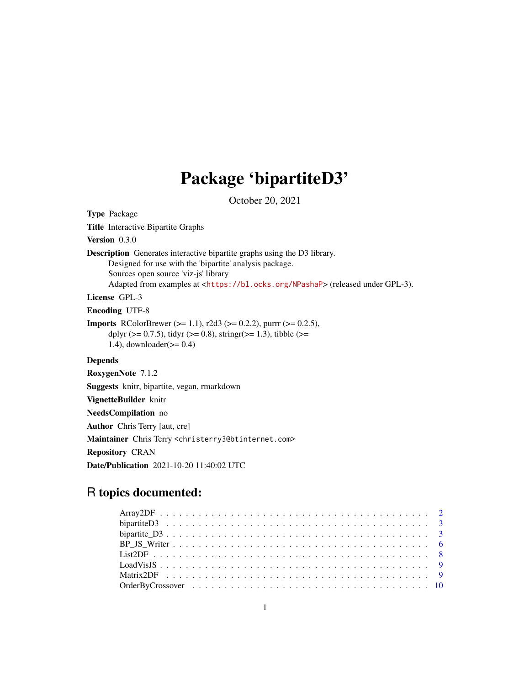# Package 'bipartiteD3'

October 20, 2021

Type Package Title Interactive Bipartite Graphs Version 0.3.0 Description Generates interactive bipartite graphs using the D3 library. Designed for use with the 'bipartite' analysis package. Sources open source 'viz-js' library Adapted from examples at <<https://bl.ocks.org/NPashaP>> (released under GPL-3). License GPL-3 Encoding UTF-8 **Imports** RColorBrewer ( $>= 1.1$ ), r2d3 ( $>= 0.2.2$ ), purrr ( $>= 0.2.5$ ), dplyr ( $>= 0.7.5$ ), tidyr ( $>= 0.8$ ), stringr( $>= 1.3$ ), tibble ( $>= 1.3$ 1.4), downloader( $>= 0.4$ ) Depends RoxygenNote 7.1.2 Suggests knitr, bipartite, vegan, rmarkdown VignetteBuilder knitr NeedsCompilation no Author Chris Terry [aut, cre] Maintainer Chris Terry <christerry3@btinternet.com> Repository CRAN

Date/Publication 2021-10-20 11:40:02 UTC

# R topics documented: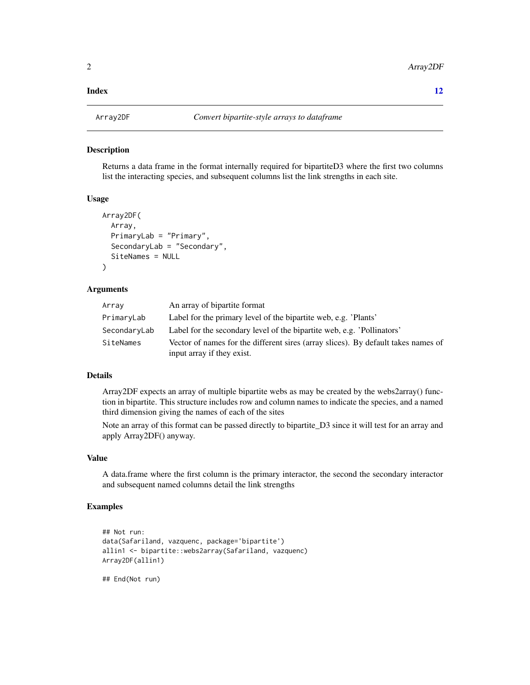#### <span id="page-1-0"></span>**Index** [12](#page-11-0)

#### Description

Returns a data frame in the format internally required for bipartiteD3 where the first two columns list the interacting species, and subsequent columns list the link strengths in each site.

# Usage

```
Array2DF(
  Array,
 PrimaryLab = "Primary",
  SecondaryLab = "Secondary",
  SiteNames = NULL
)
```
#### Arguments

| Array        | An array of bipartite format                                                      |
|--------------|-----------------------------------------------------------------------------------|
| PrimaryLab   | Label for the primary level of the bipartite web, e.g. 'Plants'                   |
| SecondaryLab | Label for the secondary level of the bipartite web, e.g. 'Pollinators'            |
| SiteNames    | Vector of names for the different sires (array slices). By default takes names of |
|              | input array if they exist.                                                        |

# Details

Array2DF expects an array of multiple bipartite webs as may be created by the webs2array() function in bipartite. This structure includes row and column names to indicate the species, and a named third dimension giving the names of each of the sites

Note an array of this format can be passed directly to bipartite\_D3 since it will test for an array and apply Array2DF() anyway.

#### Value

A data.frame where the first column is the primary interactor, the second the secondary interactor and subsequent named columns detail the link strengths

#### Examples

```
## Not run:
data(Safariland, vazquenc, package='bipartite')
allin1 <- bipartite::webs2array(Safariland, vazquenc)
Array2DF(allin1)
```
## End(Not run)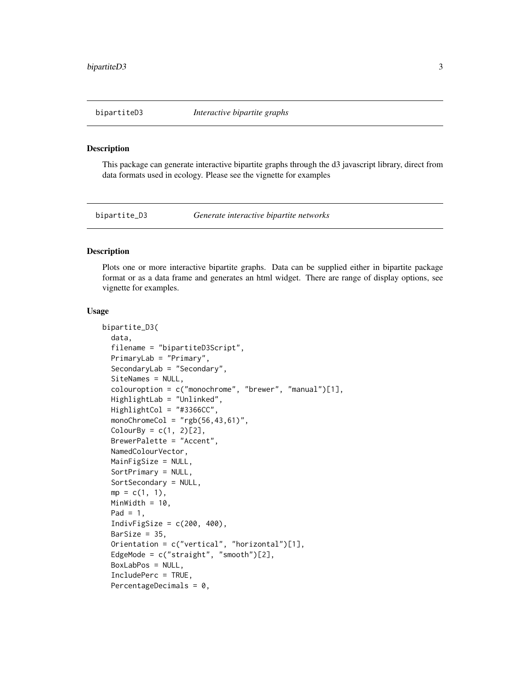#### <span id="page-2-0"></span>Description

This package can generate interactive bipartite graphs through the d3 javascript library, direct from data formats used in ecology. Please see the vignette for examples

bipartite\_D3 *Generate interactive bipartite networks*

### Description

Plots one or more interactive bipartite graphs. Data can be supplied either in bipartite package format or as a data frame and generates an html widget. There are range of display options, see vignette for examples.

#### Usage

```
bipartite_D3(
  data,
  filename = "bipartiteD3Script",
 PrimaryLab = "Primary",
  SecondaryLab = "Secondary",
  SiteNames = NULL,
  colouroption = c("monochrome", "brewer", "manual")[1],
 HighlightLab = "Unlinked",
 HighlightCol = "#3366CC",
  monoChromeCol = "rgb(56, 43, 61)",
  ColorBy = c(1, 2)[2],BrewerPalette = "Accent",
  NamedColourVector,
 MainFigSize = NULL,
  SortPrimary = NULL,
  SortSecondary = NULL,
  mp = c(1, 1),MinWidth = 10,
  Pad = 1,
  IndivFigSize = c(200, 400),
  BarSize = 35.
  Orientation = c("vertical", "horizontal")[1],
 EdgeMode = c("straight", "smooth")[2],
 BoxLabPos = NULL,
  IncludePerc = TRUE,
  PercentageDecimals = 0,
```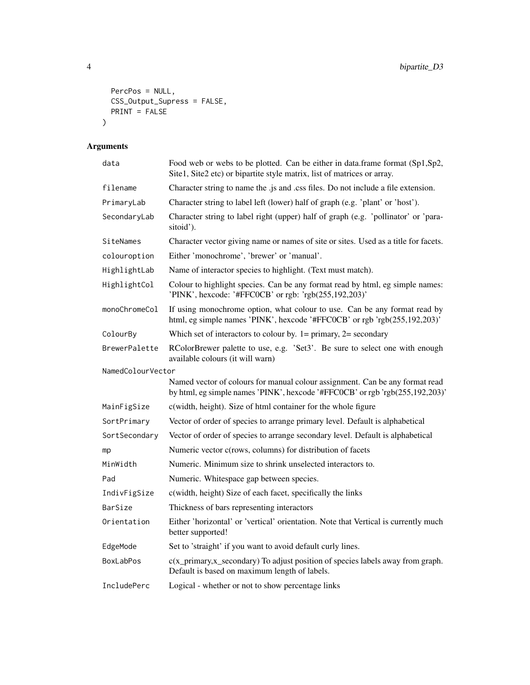```
PercPos = NULL,
 CSS_Output_Supress = FALSE,
 PRINT = FALSE\lambda
```
# Arguments

| data              | Food web or webs to be plotted. Can be either in data.frame format (Sp1,Sp2,<br>Site1, Site2 etc) or bipartite style matrix, list of matrices or array.      |
|-------------------|--------------------------------------------------------------------------------------------------------------------------------------------------------------|
| filename          | Character string to name the .js and .css files. Do not include a file extension.                                                                            |
| PrimaryLab        | Character string to label left (lower) half of graph (e.g. 'plant' or 'host').                                                                               |
| SecondaryLab      | Character string to label right (upper) half of graph (e.g. 'pollinator' or 'para-<br>sitoid').                                                              |
| SiteNames         | Character vector giving name or names of site or sites. Used as a title for facets.                                                                          |
| colouroption      | Either 'monochrome', 'brewer' or 'manual'.                                                                                                                   |
| HighlightLab      | Name of interactor species to highlight. (Text must match).                                                                                                  |
| HighlightCol      | Colour to highlight species. Can be any format read by html, eg simple names:<br>'PINK', hexcode: '#FFC0CB' or rgb: 'rgb(255,192,203)'                       |
| monoChromeCol     | If using monochrome option, what colour to use. Can be any format read by<br>html, eg simple names 'PINK', hexcode '#FFC0CB' or rgb 'rgb(255,192,203)'       |
| ColourBy          | Which set of interactors to colour by. $1 =$ primary, $2 =$ secondary                                                                                        |
| BrewerPalette     | RColorBrewer palette to use, e.g. 'Set3'. Be sure to select one with enough<br>available colours (it will warn)                                              |
| NamedColourVector |                                                                                                                                                              |
|                   | Named vector of colours for manual colour assignment. Can be any format read<br>by html, eg simple names 'PINK', hexcode '#FFC0CB' or rgb 'rgb(255,192,203)' |
| MainFigSize       | c(width, height). Size of html container for the whole figure                                                                                                |
| SortPrimary       | Vector of order of species to arrange primary level. Default is alphabetical                                                                                 |
| SortSecondary     | Vector of order of species to arrange secondary level. Default is alphabetical                                                                               |
| mp                | Numeric vector c(rows, columns) for distribution of facets                                                                                                   |
| MinWidth          | Numeric. Minimum size to shrink unselected interactors to.                                                                                                   |
| Pad               | Numeric. Whitespace gap between species.                                                                                                                     |
| IndivFigSize      | c(width, height) Size of each facet, specifically the links                                                                                                  |
| BarSize           | Thickness of bars representing interactors                                                                                                                   |
| Orientation       | Either 'horizontal' or 'vertical' orientation. Note that Vertical is currently much<br>better supported!                                                     |
| EdgeMode          | Set to 'straight' if you want to avoid default curly lines.                                                                                                  |
| <b>BoxLabPos</b>  | $c(x$ primary, $x$ secondary) To adjust position of species labels away from graph.<br>Default is based on maximum length of labels.                         |
| IncludePerc       | Logical - whether or not to show percentage links                                                                                                            |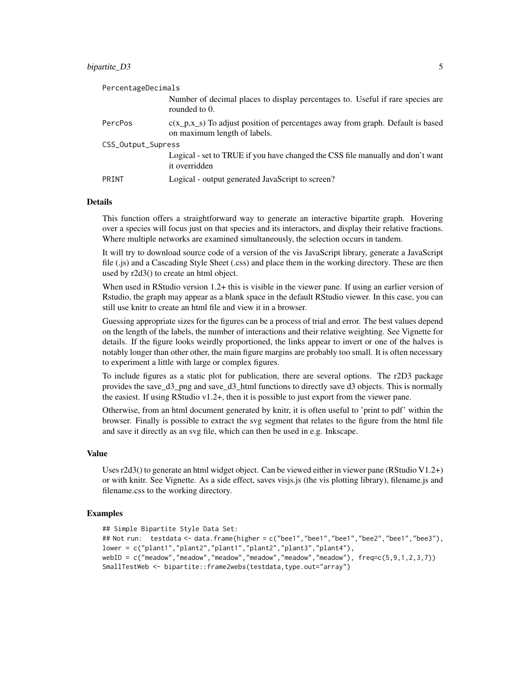#### bipartite D3 5

| PercentageDecimals |                                                                                                                   |  |
|--------------------|-------------------------------------------------------------------------------------------------------------------|--|
|                    | Number of decimal places to display percentages to. Useful if rare species are<br>rounded to 0.                   |  |
| PercPos            | $c(x_p, x_s)$ To adjust position of percentages away from graph. Default is based<br>on maximum length of labels. |  |
| CSS_Output_Supress |                                                                                                                   |  |
|                    | Logical - set to TRUE if you have changed the CSS file manually and don't want<br>it overridden                   |  |
| PRINT              | Logical - output generated JavaScript to screen?                                                                  |  |

#### Details

This function offers a straightforward way to generate an interactive bipartite graph. Hovering over a species will focus just on that species and its interactors, and display their relative fractions. Where multiple networks are examined simultaneously, the selection occurs in tandem.

It will try to download source code of a version of the vis JavaScript library, generate a JavaScript file (.js) and a Cascading Style Sheet (.css) and place them in the working directory. These are then used by r2d3() to create an html object.

When used in RStudio version 1.2+ this is visible in the viewer pane. If using an earlier version of Rstudio, the graph may appear as a blank space in the default RStudio viewer. In this case, you can still use knitr to create an html file and view it in a browser.

Guessing appropriate sizes for the figures can be a process of trial and error. The best values depend on the length of the labels, the number of interactions and their relative weighting. See Vignette for details. If the figure looks weirdly proportioned, the links appear to invert or one of the halves is notably longer than other other, the main figure margins are probably too small. It is often necessary to experiment a little with large or complex figures.

To include figures as a static plot for publication, there are several options. The r2D3 package provides the save\_d3\_png and save\_d3\_html functions to directly save d3 objects. This is normally the easiest. If using RStudio  $v1.2+$ , then it is possible to just export from the viewer pane.

Otherwise, from an html document generated by knitr, it is often useful to 'print to pdf' within the browser. Finally is possible to extract the svg segment that relates to the figure from the html file and save it directly as an svg file, which can then be used in e.g. Inkscape.

#### Value

Uses r2d3() to generate an html widget object. Can be viewed either in viewer pane (RStudio V1.2+) or with knitr. See Vignette. As a side effect, saves visjs.js (the vis plotting library), filename.js and filename.css to the working directory.

#### Examples

```
## Simple Bipartite Style Data Set:
## Not run: testdata <- data.frame(higher = c("bee1","bee1","bee1","bee2","bee1","bee3"),
lower = c("plant1","plant2","plant1","plant2","plant3","plant4"),
webID = c("meadow","meadow","meadow","meadow","meadow","meadow"), freq=c(5,9,1,2,3,7))
SmallTestWeb <- bipartite::frame2webs(testdata,type.out="array")
```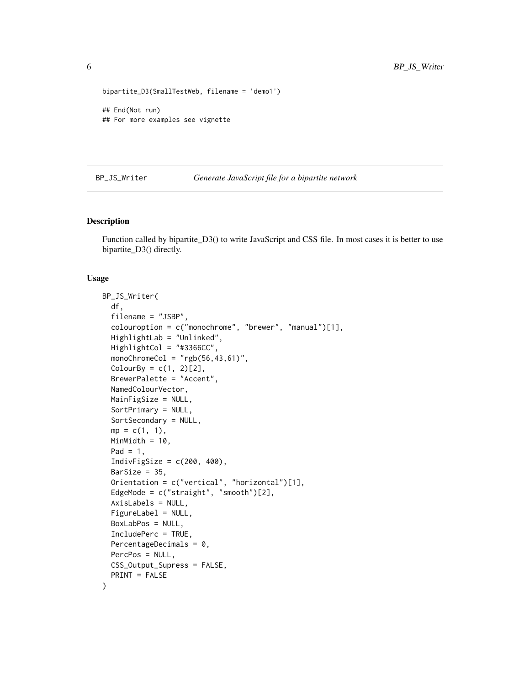```
bipartite_D3(SmallTestWeb, filename = 'demo1')
## End(Not run)
## For more examples see vignette
```
#### BP\_JS\_Writer *Generate JavaScript file for a bipartite network*

#### Description

Function called by bipartite\_D3() to write JavaScript and CSS file. In most cases it is better to use bipartite\_D3() directly.

#### Usage

```
BP_JS_Writer(
  df,
  filename = "JSBP",
  colouroption = c("monochrome", "brewer", "manual")[1],
 HighlightLab = "Unlinked",
 HighlightCol = "#3366CC",
 monoChromeCol = "rgb(56, 43, 61)",
 ColourBy = c(1, 2)[2],
 BrewerPalette = "Accent",
 NamedColourVector,
 MainFigSize = NULL,
  SortPrimary = NULL,
  SortSecondary = NULL,
 mp = c(1, 1),MinWidth = 10,
 Pad = 1,
  IndivFigSize = c(200, 400),
 BarSize = 35,
  Orientation = c("vertical", "horizontal")[1],
 EdgeMode = c("straight", "smooth")[2],
  AxisLabels = NULL,
  FigureLabel = NULL,
 BoxLabPos = NULL,
  IncludePerc = TRUE,
 PercentageDecimals = 0,
 PercPos = NULL,
 CSS_Output_Supress = FALSE,
 PRINT = FALSE
)
```
<span id="page-5-0"></span>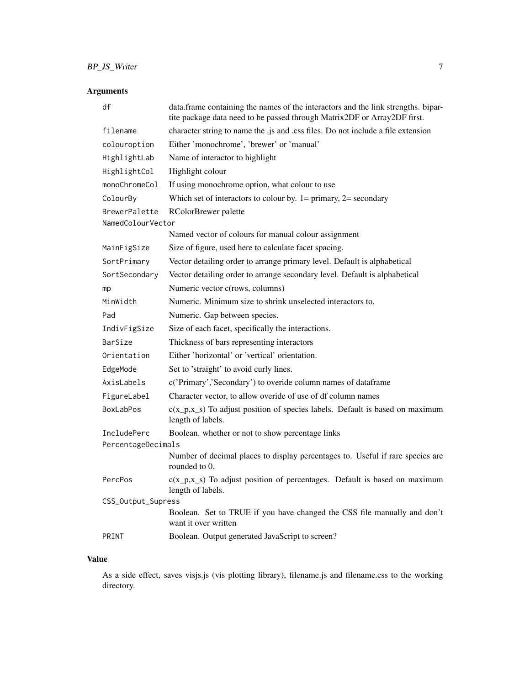# Arguments

| df                                 | data.frame containing the names of the interactors and the link strengths. bipar-<br>tite package data need to be passed through Matrix2DF or Array2DF first. |  |
|------------------------------------|---------------------------------------------------------------------------------------------------------------------------------------------------------------|--|
| filename                           | character string to name the .js and .css files. Do not include a file extension                                                                              |  |
| colouroption                       | Either 'monochrome', 'brewer' or 'manual'                                                                                                                     |  |
| HighlightLab                       | Name of interactor to highlight                                                                                                                               |  |
| HighlightCol                       | Highlight colour                                                                                                                                              |  |
| monoChromeCol                      | If using monochrome option, what colour to use                                                                                                                |  |
| ColourBy                           | Which set of interactors to colour by. $1 = \text{primary}, 2 = \text{secondary}$                                                                             |  |
| BrewerPalette<br>NamedColourVector | RColorBrewer palette                                                                                                                                          |  |
|                                    | Named vector of colours for manual colour assignment                                                                                                          |  |
| MainFigSize                        | Size of figure, used here to calculate facet spacing.                                                                                                         |  |
| SortPrimary                        | Vector detailing order to arrange primary level. Default is alphabetical                                                                                      |  |
| SortSecondary                      | Vector detailing order to arrange secondary level. Default is alphabetical                                                                                    |  |
| mp                                 | Numeric vector c(rows, columns)                                                                                                                               |  |
| MinWidth                           | Numeric. Minimum size to shrink unselected interactors to.                                                                                                    |  |
| Pad                                | Numeric. Gap between species.                                                                                                                                 |  |
| IndivFigSize                       | Size of each facet, specifically the interactions.                                                                                                            |  |
| BarSize                            | Thickness of bars representing interactors                                                                                                                    |  |
| Orientation                        | Either 'horizontal' or 'vertical' orientation.                                                                                                                |  |
| EdgeMode                           | Set to 'straight' to avoid curly lines.                                                                                                                       |  |
| AxisLabels                         | c('Primary','Secondary') to overide column names of dataframe                                                                                                 |  |
| FigureLabel                        | Character vector, to allow overide of use of df column names                                                                                                  |  |
| BoxLabPos                          | $c(x_p, x_s)$ To adjust position of species labels. Default is based on maximum<br>length of labels.                                                          |  |
| IncludePerc                        | Boolean. whether or not to show percentage links                                                                                                              |  |
| PercentageDecimals                 |                                                                                                                                                               |  |
|                                    | Number of decimal places to display percentages to. Useful if rare species are<br>rounded to 0.                                                               |  |
| PercPos                            | $c(x_p,x_s)$ To adjust position of percentages. Default is based on maximum<br>length of labels.                                                              |  |
| CSS_Output_Supress                 |                                                                                                                                                               |  |
|                                    | Boolean. Set to TRUE if you have changed the CSS file manually and don't<br>want it over written                                                              |  |
| PRINT                              | Boolean. Output generated JavaScript to screen?                                                                                                               |  |

# Value

As a side effect, saves visjs.js (vis plotting library), filename.js and filename.css to the working directory.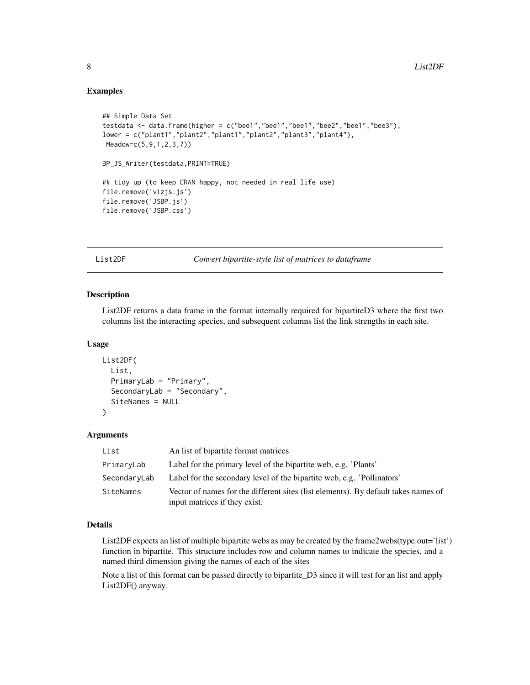#### Examples

```
## Simple Data Set
testdata <- data.frame(higher = c("bee1","bee1","bee1","bee2","bee1","bee3"),
lower = c("plant1","plant2","plant1","plant2","plant3","plant4"),
Meadow=c(5,9,1,2,3,7))
BP_JS_Writer(testdata,PRINT=TRUE)
## tidy up (to keep CRAN happy, not needed in real life use)
file.remove('vizjs.js')
file.remove('JSBP.js')
file.remove('JSBP.css')
```
List2DF *Convert bipartite-style list of matrices to dataframe*

### Description

List2DF returns a data frame in the format internally required for bipartiteD3 where the first two columns list the interacting species, and subsequent columns list the link strengths in each site.

#### Usage

```
List2DF(
 List,
  PrimaryLab = "Primary",
  SecondaryLab = "Secondary",
  SiteNames = NULL
)
```
#### Arguments

| List         | An list of bipartite format matrices                                                                                |
|--------------|---------------------------------------------------------------------------------------------------------------------|
| PrimaryLab   | Label for the primary level of the bipartite web, e.g. 'Plants'                                                     |
| SecondaryLab | Label for the secondary level of the bipartite web, e.g. 'Pollinators'                                              |
| SiteNames    | Vector of names for the different sites (list elements). By default takes names of<br>input matrices if they exist. |

#### Details

List2DF expects an list of multiple bipartite webs as may be created by the frame2webs(type.out='list') function in bipartite. This structure includes row and column names to indicate the species, and a named third dimension giving the names of each of the sites

Note a list of this format can be passed directly to bipartite\_D3 since it will test for an list and apply List2DF() anyway.

<span id="page-7-0"></span>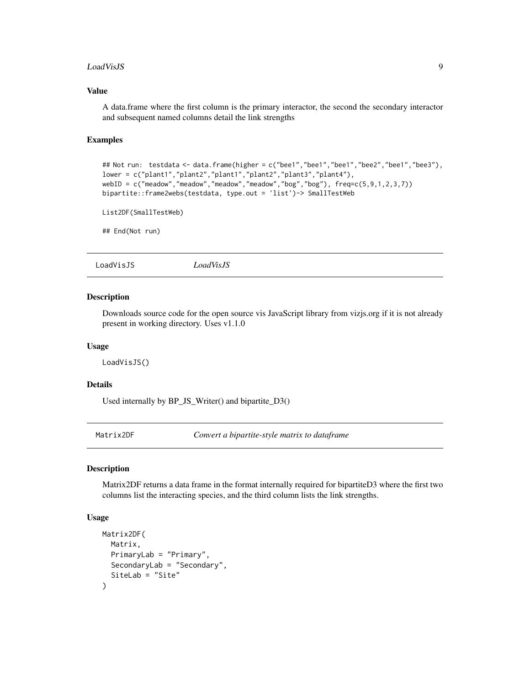#### <span id="page-8-0"></span>LoadVisJS 9

#### Value

A data.frame where the first column is the primary interactor, the second the secondary interactor and subsequent named columns detail the link strengths

#### Examples

```
## Not run: testdata <- data.frame(higher = c("bee1","bee1","bee1","bee2","bee1","bee3"),
lower = c("plant1","plant2","plant1","plant2","plant3","plant4"),
webID = c("meadow","meadow","meadow","meadow","bog","bog"), freq=c(5,9,1,2,3,7))
bipartite::frame2webs(testdata, type.out = 'list')-> SmallTestWeb
```

```
List2DF(SmallTestWeb)
```
## End(Not run)

LoadVisJS *LoadVisJS*

#### Description

Downloads source code for the open source vis JavaScript library from vizjs.org if it is not already present in working directory. Uses v1.1.0

#### Usage

LoadVisJS()

#### Details

Used internally by BP\_JS\_Writer() and bipartite\_D3()

Matrix2DF *Convert a bipartite-style matrix to dataframe*

#### Description

Matrix2DF returns a data frame in the format internally required for bipartiteD3 where the first two columns list the interacting species, and the third column lists the link strengths.

#### Usage

```
Matrix2DF(
 Matrix,
 PrimaryLab = "Primary",
  SecondaryLab = "Secondary",
  SiteLab = "Site"
)
```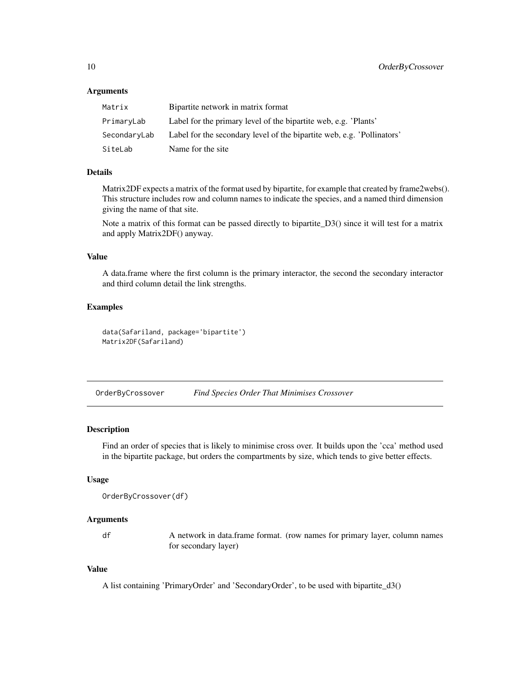#### <span id="page-9-0"></span>Arguments

| Matrix       | Bipartite network in matrix format                                     |
|--------------|------------------------------------------------------------------------|
| PrimaryLab   | Label for the primary level of the bipartite web, e.g. 'Plants'        |
| SecondaryLab | Label for the secondary level of the bipartite web, e.g. 'Pollinators' |
| SiteLab      | Name for the site.                                                     |

# Details

Matrix2DF expects a matrix of the format used by bipartite, for example that created by frame2webs(). This structure includes row and column names to indicate the species, and a named third dimension giving the name of that site.

Note a matrix of this format can be passed directly to bipartite\_D3() since it will test for a matrix and apply Matrix2DF() anyway.

#### Value

A data.frame where the first column is the primary interactor, the second the secondary interactor and third column detail the link strengths.

#### Examples

```
data(Safariland, package='bipartite')
Matrix2DF(Safariland)
```
OrderByCrossover *Find Species Order That Minimises Crossover*

#### Description

Find an order of species that is likely to minimise cross over. It builds upon the 'cca' method used in the bipartite package, but orders the compartments by size, which tends to give better effects.

#### Usage

```
OrderByCrossover(df)
```
#### Arguments

df A network in data.frame format. (row names for primary layer, column names for secondary layer)

#### Value

A list containing 'PrimaryOrder' and 'SecondaryOrder', to be used with bipartite\_d3()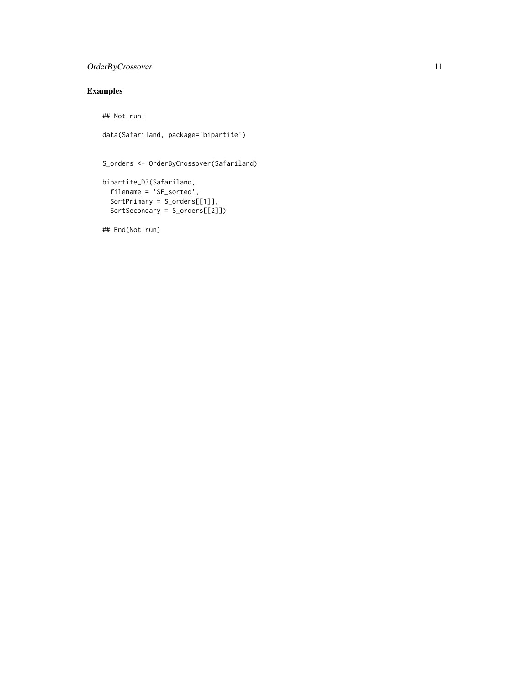# OrderByCrossover 11

# Examples

## Not run:

```
data(Safariland, package='bipartite')
```

```
S_orders <- OrderByCrossover(Safariland)
```

```
bipartite_D3(Safariland,
 filename = 'SF_sorted',
  SortPrimary = S_orders[[1]],
 SortSecondary = S_orders[[2]])
```
## End(Not run)